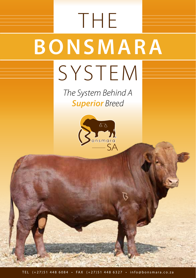## **THE BONSMARA** SYSTEM

*The System Behind A Superior Breed*

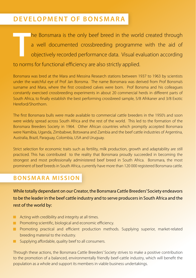### **Development of Bonsmara**

**T** he Bonsmara is the only beef breed in the world created through a well documented crossbreeding programme with the aid of objectively recorded performance data. Visual evaluation according to norms for functional efficiency are also strictly applied.

Bonsmara was bred at the Mara and Messina Research stations between 1937 to 1963 by scientists under the watchful eye of Prof Jan Bonsma. The name Bonsmara was derived from Prof Bonsma's surname and Mara, where the first crossbred calves were born. Prof Bonsma and his colleagues constantly exercised crossbreeding experiments in about 20 commercial herds in different parts of South Africa, to finally establish the best performing crossbreed sample, 5/8 Afrikaner and 3/8 Exotic Hereford/Shorthorn.

The first Bonsmara bulls were made available to commercial cattle breeders in the 1950's and soon were widely spread across South Africa and the rest of the world. This led to the formation of the Bonsmara Breeders Society in 1964. Other African countries which promptly accepted Bonsmara were Namibia, Uganda, Zimbabwe, Botswana and Zambia and the beef cattle industries of Argentina, Australia, Brazil, Paraguay, Colombia, USA and Uruguay.

Strict selection for economic traits such as fertility, milk production, growth and adaptability are still practiced. This has contributed to the reality that Bonsmara proudly succeeded in becoming the strongest and most professionally administered beef breed in South Africa. Bonsmara, the most prominent of beef breeds in South Africa, currently have more than 120 000 registered Bonsmara cattle.

### **Bonsmara Mission**

While totally dependant on our Creator, the Bonsmara Cattle Breeders' Society endeavors to be the leader in the beef cattle industry and to serve producers in South Africa and the rest of the world by:

- **Acting with credibility and integrity at all times.**
- **Promoting scientific, biological and economic efficiency.**
- **Promoting practical and efficient production methods. Supplying superior, market-related** breeding material to the industry.
- **No** Supplying affordable, quality beef to all consumers.

Through these actions, the Bonsmara Cattle Breeders' Society strives to make a positive contribution to the promotion of a balanced, environmentally friendly beef-cattle industry, which will benefit the population as a whole and support its members in viable business undertakings.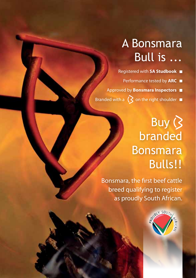## A Bonsmara Bull is ...

Registered with **SA Studbook** Performance tested by **ARC** Approved by **Bonsmara Inspectors** Branded with a  $\bigotimes$  on the right shoulder  $\blacksquare$ 

## Buy ( branded Bonsmara **Bulls!!**

Bonsmara, the first beef cattle breed qualifying to register as proudly South African.

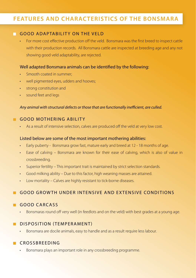### **Features and characteristics of the Bonsmara**

### GOOD ADAPTABILITY ON THE VELD

For more cost effective production off the veld. Bonsmara was the first breed to inspect cattle with their production records. All Bonsmara cattle are inspected at breeding age and any not showing good veld adaptability, are rejected.

### Well adapted Bonsmara animals can be identified by the following:

- Smooth coated in summer:
- well pigmented eyes, udders and hooves;
- • strong constitution and
- • sound feet and legs

### *Any animal with structural defects or those that are functionally inefficient, are culled.*

### **GOOD MOTHERING ABILITY**

As a result of intensive selection, calves are produced off the veld at very low cost.

### Listed below are some of the most important mothering abilities:

- Early puberty Bonsmara grow fast, mature early and breed at 12 18 months of age.
- Ease of calving Bonsmara are known for their ease of calving, which is also of value in crossbreeding.
- Superior fertility This important trait is maintained by strict selection standards.
- • Good milking ability Due to this factor, high weaning masses are attained.
- Low mortality Calves are highly resistant to tick-borne diseases.

### GOOD GROWTH UNDER INTENSIVE AND EXTENSIVE CONDITIONS

### GOOD CARCASS

Bonsmaras round off very well (in feedlots and on the veld) with best grades at a young age.

### DISPOSITION (TEMPERAMENT)

• Bonsmara are docile animals, easy to handle and as a result require less labour.

### CROSSBREEDING

• Bonsmara plays an important role in any crossbreeding programme.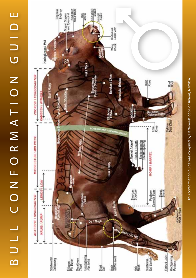# BULL CORMATION GUIDE U LL C ON F O R M A T ION G UID E



This conformation guide was compiled by Hartebeestloop Bonsmaras, Namibia. This conformation guide was compiled by Hartebeestloop Bonsmaras, Namibia.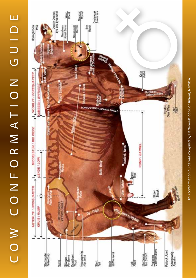## COW CONFORMATION GUIDE O W C ON F O R M A T ION G UID E

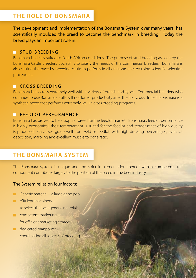### **The role of Bonsmara**

The development and implementation of the Bonsmara System over many years, has scientifically moulded the breed to become the benchmark in breeding. Today the breed plays an important role in:

### **STUD BREEDING**

Bonsmara is ideally suited to South African conditions. The purpose of stud breeding as seen by the Bonsmara Cattle Breeders' Society, is to satisfy the needs of the commercial breeders. Bonsmara is also setting the pace by breeding cattle to perform in all environments by using scientific selection procedures.

### **CROSS BREEDING**

Bonsmara bulls cross extremely well with a variety of breeds and types. Commercial breeders who continue to use Bonsmara Bulls will not forfeit productivity after the first cross. In fact, Bonsmara is a synthetic breed that performs extremely well in cross breeding programs.

### **FEEDLOT PERFORMANCE**

Bonsmara has proved to be a popular breed for the feedlot market. Bonsmara's feedlot performance is highly economical, their temperament is suited for the feedlot and tender meat of high quality is produced. Carcasses grade well from veld or feedlot, with high dressing percentages, even fat deposition, marbling and excellent muscle to bone ratio.

### **The Bonsmara System**

The Bonsmara system is unique and the strict implementation thereof with a competent staff component contributes largely to the position of the breed in the beef industry.

### The System relies on four factors:

- Genetic material a large gene pool;
- $\blacksquare$  efficient machinery to select the best genetic material;
- $\Box$  competent marketing for efficient marketing strategy;
- dedicated manpower coordinating all aspects of breeding.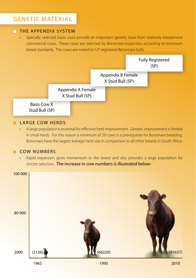### **Genetic Material**

### **THE APPENDIX SYSTEM**

Specially selected basis cows provide an important genetic base from relatively inexpensive commercial cows. These cows are selected by Bonsmara inspectors according to minimum breed standards. The cows are mated to S.P. registered Bonsmara bulls.



### LARGE COW HERDS

• A large population is essential for effective herd improvement. Genetic improvement is limited in small herds. For this reason a minimum of 20 cows is a prerequisite for Bonsmara breeding. Bonsmara have the largest average herd size in comparison to all other breeds in South Africa.

### COW NUMBERS

• Rapid expansion gives momentum to the breed and also provides a large population for stricter selection. The increase in cow numbers is illustrated below:

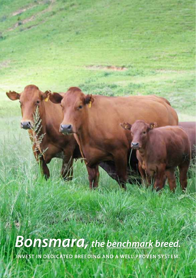*Bonsmara, the benchmark breed.* **Invest in dedicated breeding and a well proven system.**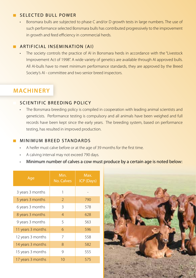### SELECTED BULL POWER

Bonsmara bulls are subjected to phase C and/or D growth tests in large numbers. The use of such performance selected Bonsmara bulls has contributed progressively to the improvement in growth and feed efficiency in commercial herds.

### Artificial Insemination (AI)

The society controls the practice of AI in Bonsmara herds in accordance with the "Livestock" Improvement Act of 1998". A wide variety of genetics are available through AI approved bulls. All AI-bulls have to meet minimum performance standards, they are approved by the Breed Society's AI - committee and two senior breed inspectors.

### **Machinery**

### SCIENTIFIC BREEDING POLICY

• The Bonsmara breeding policy is compiled in cooperation with leading animal scientists and geneticists. Performance testing is compulsory and all animals have been weighed and full records have been kept since the early years. The breeding system, based on performance testing, has resulted in improved production.

### **MINIMUM BREED STANDARDS**

- A heifer must calve before or at the age of 39 months for the first time.
- A calving interval may not exceed 790 days.
- Minimum number of calves a cow must produce by a certain age is noted below:

| Age               | Min.<br>No. Calves | Max.<br>ICP (Days) |
|-------------------|--------------------|--------------------|
| 3 years 3 months  | 1                  |                    |
| 5 years 3 months  | 2                  | 790                |
| 6 years 3 months  | 3                  | 578                |
| 8 years 3 months  | $\overline{4}$     | 628                |
| 9 years 3 months  | 5                  | 563                |
| 11 years 3 months | 6                  | 596                |
| 12 years 3 months | 7                  | 558                |
| 14 years 3 months | 8                  | 582                |
| 15 years 3 months | 9                  | 555                |
| 17 years 3 months | 10                 | 575                |

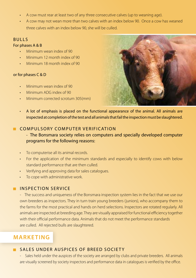- • A cow must rear at least two of any three consecutive calves (up to weaning age).
- A cow may not wean more than two calves with an index below 90. Once a cow has weaned three calves with an index below 90, she will be culled.

### **BULLS**

### For phases A & B

- • Minimum wean index of 90
- Minimum 12 month index of 90
- Minimum 18 month index of 90

### or for phases C & D

- Minimum wean index of 90
- $Minimum$  ADG index of 90
- Minimum corrected scrotum 305(mm)



• A lot of emphasis is placed on the functional appearance of the animal. All animals are inspected at completion of the test and all animals that fail the inspection must be slaughtered.

### **COMPULSORY COMPUTER VERIFICATION**

### - The Bonsmara society relies on computers and specially developed computer programs for the following reasons:

- • To computerise all its animal records.
- For the application of the minimum standards and especially to identify cows with below standard performance that are then culled.
- Verifying and approving data for sales catalogues.
- To cope with administrative work.

### **INSPECTION SERVICE**

- The success and uniqueness of the Bonsmara inspection system lies in the fact that we use our own breeders as inspectors. They in turn train young breeders (juniors), who accompany them to the farms for the most practical and hands on herd selections. Inspectors are rotated regularly. All animals are inspected at breeding age. They are visually appraised for functional efficiency together with their official performance data. Animals that do not meet the performance standards are culled. All rejected bulls are slaughtered.

### **MARKETING**

### **SALES UNDER AUSPICES OF BREED SOCIETY**

Sales held under the auspices of the society are arranged by clubs and private breeders. All animals are visually screened by society inspectors and performance data in catalogues is verified by the office.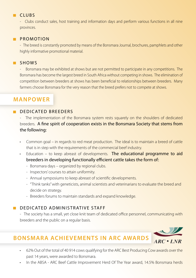### CLUBS

- Clubs conduct sales, host training and information days and perform various functions in all nine provinces.

### **PROMOTION**

- The breed is constantly promoted by means of the Bonsmara Journal, brochures, pamphlets and other highly informative promotional material.

### **SHOWS**

Bonsmara may be exhibited at shows but are not permitted to participate in any competitions. The Bonsmara has become the largest breed in South Africa without competing in shows. The elimination of competition between breeders at shows has been beneficial to relationships between breeders. Many farmers choose Bonsmara for the very reason that the breed prefers not to compete at shows.

### **Manpower**

### DEDICATED BREEDERS

- The implementation of the Bonsmara system rests squarely on the shoulders of dedicated breeders. A fine spirit of cooperation exists in the Bonsmara Society that stems from the following:

- Common goal in regards to red meat production. The ideal is to maintain a breed of cattle that is in step with the requirements of the commercial beef industry.
- Education to keep abreast of developments. The educational programme to aid breeders in developing functionally efficient cattle takes the form of:
	- Bonsmara days organized by regional clubs.
	- Inspectors' courses to attain uniformity.
	- Annual symposiums to keep abreast of scientific developments.
	- "Think tanks" with geneticists, animal scientists and veterinarians to evaluate the breed and decide on strategy.
	- Breeders forums to maintain standards and expand knowledge.

### $\blacksquare$  DEDICATED ADMINISTRATIVE STAFF

- The society has a small, yet close knit team of dedicated office personnel, communicating with breeders and the public on a regular basis.

### **Bonsmara Achievements in ARC Awards**

- 62% Out of the total of 40 914 cows qualifying for the ARC Best Producing Cow awards over the past 14 years, were awarded to Bonsmara.
- In the ABSA ARC Beef Cattle Improvement Herd Of The Year award, 14.5% Bonsmara herds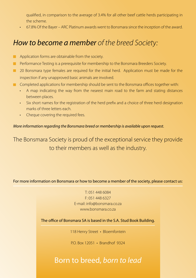qualified, in comparison to the average of 3.4% for all other beef cattle herds participating in the scheme.

• 67.8% Of the Bayer – ARC Platinum awards went to Bonsmara since the inception of the award.

### *How to become a member of the breed Society:*

- **Application forms are obtainable from the society.**
- **Performance Testing is a prerequisite for membership to the Bonsmara Breeders Society.**
- 20 Bonsmara type females are required for the initial herd. Application must be made for the inspection if any unapproved basic animals are involved.
- Completed applications for membership should be sent to the Bonsmara offices together with:
	- A map indicating the way from the nearest main road to the farm and stating distances between places.
	- • Six short names for the registration of the herd prefix and a choice of three herd designation marks of three letters each.
	- Cheque covering the required fees.

### *More information regarding the Bonsmara breed or membership is available upon request.*

The Bonsmara Society is proud of the exceptional service they provide to their members as well as the industry.

For more information on Bonsmara or how to become a member of the society, please contact us:

T: 051 448 6084 F: 051 448 6327 E-mail: info@bonsmara.co.za www.bonsmara.co.za

The office of Bonsmara SA is based in the S.A. Stud Book Building.

118 Henry Street • Bloemfontein

P.O. Box 12051 • Brandhof 9324

### Born to breed, *born to lead*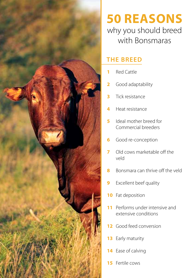

## **50 Reasons** why you should breed with Bonsmaras

### **The breed**

- Red Cattle
- Good adaptability
- Tick resistance
- Heat resistance
- Ideal mother breed for Commercial breeders
- Good re-conception
- Old cows marketable off the veld
- Bonsmara can thrive off the veld
- Excellent beef quality
- Fat deposition
- Performs under intensive and extensive conditions
- Good feed conversion
- Early maturity
- Ease of calving
- Fertile cows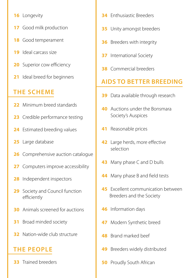- 16 Longevity
- Good milk production
- Good temperament
- Ideal carcass size
- Superior cow efficiency
- Ideal breed for beginners

### **The scheme**

- Minimum breed standards
- Credible performance testing
- Estimated breeding values
- 25 Large database
- Comprehensive auction catalogue
- Computers improve accessibility
- Independent inspectors
- Society and Council function efficiently
- Animals screened for auctions
- Broad minded society
- Nation-wide club structure

### **The people**

Trained breeders

- Enthusiastic Breeders
- Unity amongst breeders
- Breeders with integrity
- International Society
- Commercial breeders

### **Aids to better breeding**

- Data available through research
- Auctions under the Bonsmara Society's Auspices
- Reasonable prices
- Large herds, more effective selection
- Many phase C and D bulls
- Many phase B and field tests
- Excellent communication between Breeders and the Society
- Information days
- Modern Synthetic breed
- Brand marked beef
- Breeders widely distributed
- Proudly South African